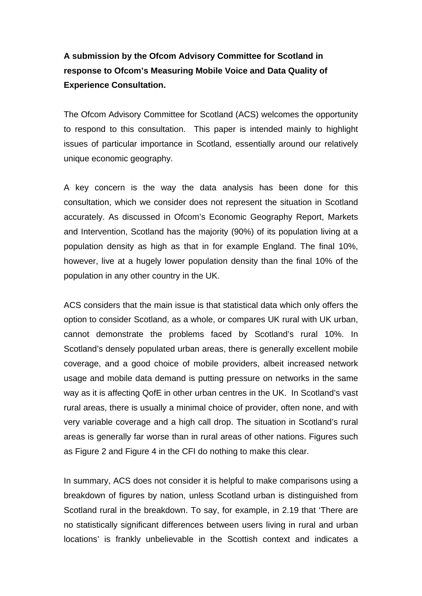# **A submission by the Ofcom Advisory Committee for Scotland in response to Ofcom's Measuring Mobile Voice and Data Quality of Experience Consultation.**

The Ofcom Advisory Committee for Scotland (ACS) welcomes the opportunity to respond to this consultation. This paper is intended mainly to highlight issues of particular importance in Scotland, essentially around our relatively unique economic geography.

A key concern is the way the data analysis has been done for this consultation, which we consider does not represent the situation in Scotland accurately. As discussed in Ofcom's Economic Geography Report, Markets and Intervention, Scotland has the majority (90%) of its population living at a population density as high as that in for example England. The final 10%, however, live at a hugely lower population density than the final 10% of the population in any other country in the UK.

ACS considers that the main issue is that statistical data which only offers the option to consider Scotland, as a whole, or compares UK rural with UK urban, cannot demonstrate the problems faced by Scotland's rural 10%. In Scotland's densely populated urban areas, there is generally excellent mobile coverage, and a good choice of mobile providers, albeit increased network usage and mobile data demand is putting pressure on networks in the same way as it is affecting QofE in other urban centres in the UK. In Scotland's vast rural areas, there is usually a minimal choice of provider, often none, and with very variable coverage and a high call drop. The situation in Scotland's rural areas is generally far worse than in rural areas of other nations. Figures such as Figure 2 and Figure 4 in the CFI do nothing to make this clear.

In summary, ACS does not consider it is helpful to make comparisons using a breakdown of figures by nation, unless Scotland urban is distinguished from Scotland rural in the breakdown. To say, for example, in 2.19 that 'There are no statistically significant differences between users living in rural and urban locations' is frankly unbelievable in the Scottish context and indicates a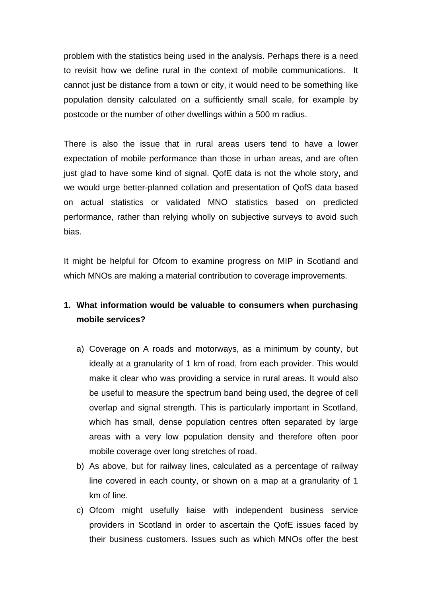problem with the statistics being used in the analysis. Perhaps there is a need to revisit how we define rural in the context of mobile communications. It cannot just be distance from a town or city, it would need to be something like population density calculated on a sufficiently small scale, for example by postcode or the number of other dwellings within a 500 m radius.

There is also the issue that in rural areas users tend to have a lower expectation of mobile performance than those in urban areas, and are often just glad to have some kind of signal. QofE data is not the whole story, and we would urge better-planned collation and presentation of QofS data based on actual statistics or validated MNO statistics based on predicted performance, rather than relying wholly on subjective surveys to avoid such bias.

It might be helpful for Ofcom to examine progress on MIP in Scotland and which MNOs are making a material contribution to coverage improvements.

## **1. What information would be valuable to consumers when purchasing mobile services?**

- a) Coverage on A roads and motorways, as a minimum by county, but ideally at a granularity of 1 km of road, from each provider. This would make it clear who was providing a service in rural areas. It would also be useful to measure the spectrum band being used, the degree of cell overlap and signal strength. This is particularly important in Scotland, which has small, dense population centres often separated by large areas with a very low population density and therefore often poor mobile coverage over long stretches of road.
- b) As above, but for railway lines, calculated as a percentage of railway line covered in each county, or shown on a map at a granularity of 1 km of line.
- c) Ofcom might usefully liaise with independent business service providers in Scotland in order to ascertain the QofE issues faced by their business customers. Issues such as which MNOs offer the best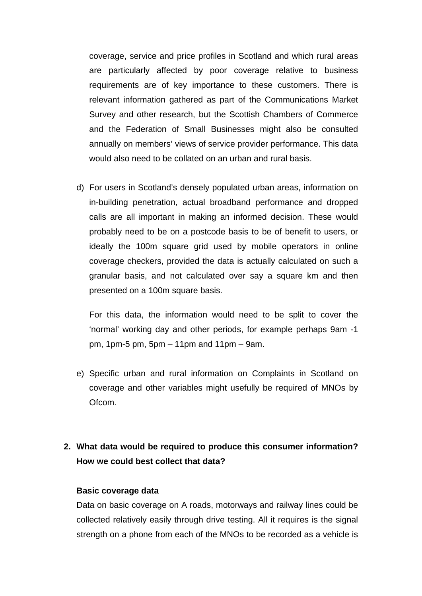coverage, service and price profiles in Scotland and which rural areas are particularly affected by poor coverage relative to business requirements are of key importance to these customers. There is relevant information gathered as part of the Communications Market Survey and other research, but the Scottish Chambers of Commerce and the Federation of Small Businesses might also be consulted annually on members' views of service provider performance. This data would also need to be collated on an urban and rural basis.

d) For users in Scotland's densely populated urban areas, information on in-building penetration, actual broadband performance and dropped calls are all important in making an informed decision. These would probably need to be on a postcode basis to be of benefit to users, or ideally the 100m square grid used by mobile operators in online coverage checkers, provided the data is actually calculated on such a granular basis, and not calculated over say a square km and then presented on a 100m square basis.

For this data, the information would need to be split to cover the 'normal' working day and other periods, for example perhaps 9am -1 pm, 1pm-5 pm, 5pm – 11pm and 11pm – 9am.

e) Specific urban and rural information on Complaints in Scotland on coverage and other variables might usefully be required of MNOs by Ofcom.

## **2. What data would be required to produce this consumer information? How we could best collect that data?**

### **Basic coverage data**

Data on basic coverage on A roads, motorways and railway lines could be collected relatively easily through drive testing. All it requires is the signal strength on a phone from each of the MNOs to be recorded as a vehicle is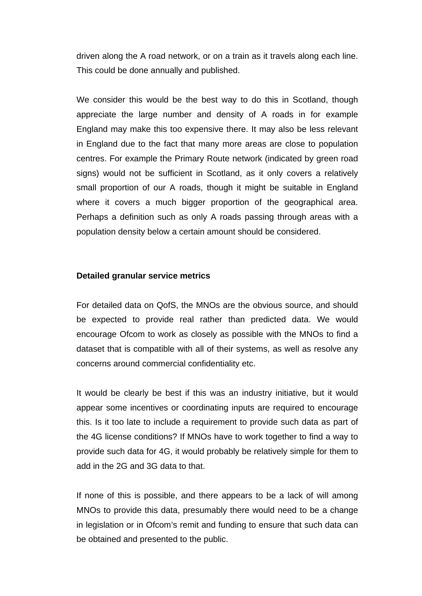driven along the A road network, or on a train as it travels along each line. This could be done annually and published.

We consider this would be the best way to do this in Scotland, though appreciate the large number and density of A roads in for example England may make this too expensive there. It may also be less relevant in England due to the fact that many more areas are close to population centres. For example the Primary Route network (indicated by green road signs) would not be sufficient in Scotland, as it only covers a relatively small proportion of our A roads, though it might be suitable in England where it covers a much bigger proportion of the geographical area. Perhaps a definition such as only A roads passing through areas with a population density below a certain amount should be considered.

#### **Detailed granular service metrics**

For detailed data on QofS, the MNOs are the obvious source, and should be expected to provide real rather than predicted data. We would encourage Ofcom to work as closely as possible with the MNOs to find a dataset that is compatible with all of their systems, as well as resolve any concerns around commercial confidentiality etc.

It would be clearly be best if this was an industry initiative, but it would appear some incentives or coordinating inputs are required to encourage this. Is it too late to include a requirement to provide such data as part of the 4G license conditions? If MNOs have to work together to find a way to provide such data for 4G, it would probably be relatively simple for them to add in the 2G and 3G data to that.

If none of this is possible, and there appears to be a lack of will among MNOs to provide this data, presumably there would need to be a change in legislation or in Ofcom's remit and funding to ensure that such data can be obtained and presented to the public.